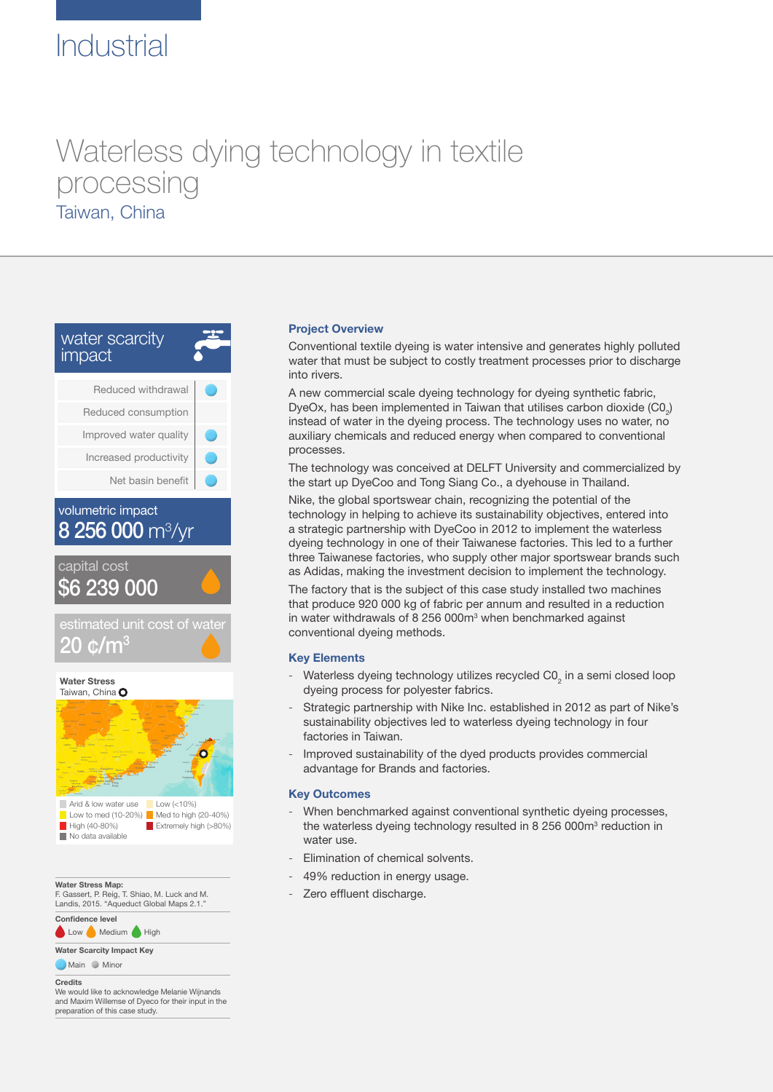# Industrial

## Waterless dying technology in textile processing Taiwan, China





 $\Box$  Low (<10%) Low to med (10-20%)  $\blacksquare$  Med to high (20-40%)<br> $\blacksquare$  High (40-80%)  $\blacksquare$  Extremely high (>80% **High Extremely high (>80%)** Arid & low water use No data available

**Water Stress Map:**

F. Gassert, P. Reig, T. Shiao, M. Luck and M. Landis, 2015. "Aqueduct Global Maps 2.1."

**Confidence level**

Low Medium High

**Water Scarcity Impact Key Main** Minor

**Credits** We would like to acknowledge Melanie Wijnands and Maxim Willemse of Dyeco for their input in the preparation of this case study.

#### **Project Overview**

Conventional textile dyeing is water intensive and generates highly polluted water that must be subject to costly treatment processes prior to discharge into rivers.

A new commercial scale dyeing technology for dyeing synthetic fabric, DyeOx, has been implemented in Taiwan that utilises carbon dioxide  $(\text{CO}_2)$ instead of water in the dyeing process. The technology uses no water, no auxiliary chemicals and reduced energy when compared to conventional processes.

The technology was conceived at DELFT University and commercialized by the start up DyeCoo and Tong Siang Co., a dyehouse in Thailand.

Nike, the global sportswear chain, recognizing the potential of the technology in helping to achieve its sustainability objectives, entered into a strategic partnership with DyeCoo in 2012 to implement the waterless dyeing technology in one of their Taiwanese factories. This led to a further three Taiwanese factories, who supply other major sportswear brands such as Adidas, making the investment decision to implement the technology.

The factory that is the subject of this case study installed two machines that produce 920 000 kg of fabric per annum and resulted in a reduction in water withdrawals of 8 256 000m<sup>3</sup> when benchmarked against conventional dyeing methods.

#### **Key Elements**

- Waterless dyeing technology utilizes recycled C0<sub>2</sub> in a semi closed loop dyeing process for polyester fabrics.
- Strategic partnership with Nike Inc. established in 2012 as part of Nike's sustainability objectives led to waterless dyeing technology in four factories in Taiwan.
- Improved sustainability of the dyed products provides commercial advantage for Brands and factories.

#### **Key Outcomes**

- When benchmarked against conventional synthetic dyeing processes, the waterless dyeing technology resulted in 8 256 000m<sup>3</sup> reduction in water use.
- Elimination of chemical solvents.
- 49% reduction in energy usage.
- Zero effluent discharge.